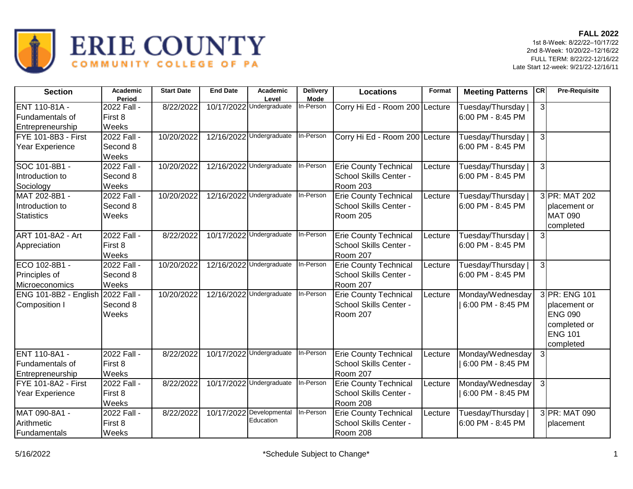

| <b>Section</b>                    | Academic<br>Period     | <b>Start Date</b> | <b>End Date</b> | <b>Academic</b><br>Level              | <b>Delivery</b><br><b>Mode</b> | <b>Locations</b>               | Format  | <b>Meeting Patterns</b>                 | CR             | <b>Pre-Requisite</b>        |
|-----------------------------------|------------------------|-------------------|-----------------|---------------------------------------|--------------------------------|--------------------------------|---------|-----------------------------------------|----------------|-----------------------------|
| ENT 110-81A -<br>Fundamentals of  | 2022 Fall -<br>First 8 | 8/22/2022         |                 | 10/17/2022 Undergraduate              | In-Person                      | Corry Hi Ed - Room 200 Lecture |         | Tuesday/Thursday  <br>6:00 PM - 8:45 PM | $\mathbf{3}$   |                             |
| Entrepreneurship                  | Weeks                  |                   |                 |                                       |                                |                                |         |                                         |                |                             |
| FYE 101-8B3 - First               | 2022 Fall -            | 10/20/2022        |                 | 12/16/2022 Undergraduate              | In-Person                      | Corry Hi Ed - Room 200 Lecture |         | Tuesday/Thursday                        | $\overline{3}$ |                             |
| Year Experience                   | Second 8<br>Weeks      |                   |                 |                                       |                                |                                |         | 6:00 PM - 8:45 PM                       |                |                             |
| SOC 101-8B1 -                     | 2022 Fall -            | 10/20/2022        |                 | 12/16/2022 Undergraduate              | In-Person                      | <b>Erie County Technical</b>   | Lecture | Tuesday/Thursday                        | 3              |                             |
| Introduction to                   | Second 8               |                   |                 |                                       |                                | School Skills Center -         |         | 6:00 PM - 8:45 PM                       |                |                             |
| Sociology                         | Weeks                  |                   |                 |                                       |                                | <b>Room 203</b>                |         |                                         |                |                             |
| MAT 202-8B1 -                     | 2022 Fall -            | 10/20/2022        |                 | 12/16/2022 Undergraduate              | In-Person                      | <b>Erie County Technical</b>   | Lecture | Tuesday/Thursday                        |                | 3 PR: MAT 202               |
| Introduction to                   | Second 8               |                   |                 |                                       |                                | School Skills Center -         |         | 6:00 PM - 8:45 PM                       |                | placement or                |
| <b>Statistics</b>                 | Weeks                  |                   |                 |                                       |                                | Room 205                       |         |                                         |                | <b>MAT 090</b><br>completed |
| ART 101-8A2 - Art                 | 2022 Fall -            | 8/22/2022         |                 | 10/17/2022 Undergraduate              | In-Person                      | <b>Erie County Technical</b>   | Lecture | Tuesday/Thursday                        | $\mathbf{3}$   |                             |
| Appreciation                      | First 8                |                   |                 |                                       |                                | School Skills Center -         |         | 6:00 PM - 8:45 PM                       |                |                             |
|                                   | Weeks                  |                   |                 |                                       |                                | <b>Room 207</b>                |         |                                         |                |                             |
| ECO 102-8B1 -                     | 2022 Fall -            | 10/20/2022        |                 | 12/16/2022 Undergraduate              | In-Person                      | <b>Erie County Technical</b>   | Lecture | Tuesday/Thursday                        | 3              |                             |
| Principles of                     | Second 8               |                   |                 |                                       |                                | School Skills Center -         |         | 6:00 PM - 8:45 PM                       |                |                             |
| Microeconomics                    | Weeks                  |                   |                 |                                       |                                | <b>Room 207</b>                |         |                                         |                |                             |
| ENG 101-8B2 - English 2022 Fall - |                        | 10/20/2022        |                 | 12/16/2022 Undergraduate              | In-Person                      | <b>Erie County Technical</b>   | Lecture | Monday/Wednesday                        |                | 3 PR: ENG 101               |
| Composition I                     | Second 8               |                   |                 |                                       |                                | School Skills Center -         |         | 6:00 PM - 8:45 PM                       |                | placement or                |
|                                   | Weeks                  |                   |                 |                                       |                                | Room 207                       |         |                                         |                | <b>ENG 090</b>              |
|                                   |                        |                   |                 |                                       |                                |                                |         |                                         |                | completed or                |
|                                   |                        |                   |                 |                                       |                                |                                |         |                                         |                | <b>ENG 101</b>              |
|                                   |                        |                   |                 |                                       |                                |                                |         |                                         |                | completed                   |
| <b>IENT 110-8A1 -</b>             | 2022 Fall -            | 8/22/2022         |                 | 10/17/2022 Undergraduate              | In-Person                      | <b>Erie County Technical</b>   | Lecture | Monday/Wednesday                        | $\mathbf{3}$   |                             |
| Fundamentals of                   | First 8                |                   |                 |                                       |                                | School Skills Center -         |         | 6:00 PM - 8:45 PM                       |                |                             |
| Entrepreneurship                  | Weeks                  |                   |                 |                                       |                                | <b>Room 207</b>                |         |                                         |                |                             |
| FYE 101-8A2 - First               | 2022 Fall -            | 8/22/2022         |                 | 10/17/2022 Undergraduate              | In-Person                      | <b>Erie County Technical</b>   | Lecture | Monday/Wednesday                        | 3              |                             |
| Year Experience                   | First 8                |                   |                 |                                       |                                | School Skills Center -         |         | 6:00 PM - 8:45 PM                       |                |                             |
|                                   | Weeks                  |                   |                 |                                       |                                | Room 208                       |         |                                         |                |                             |
| MAT 090-8A1 -                     | 2022 Fall -            | 8/22/2022         |                 | 10/17/2022 Developmental<br>Education | In-Person                      | <b>Erie County Technical</b>   | Lecture | Tuesday/Thursday                        |                | 3 PR: MAT 090               |
| Arithmetic                        | First 8                |                   |                 |                                       |                                | School Skills Center -         |         | 6:00 PM - 8:45 PM                       |                | placement                   |
| Fundamentals                      | Weeks                  |                   |                 |                                       |                                | Room 208                       |         |                                         |                |                             |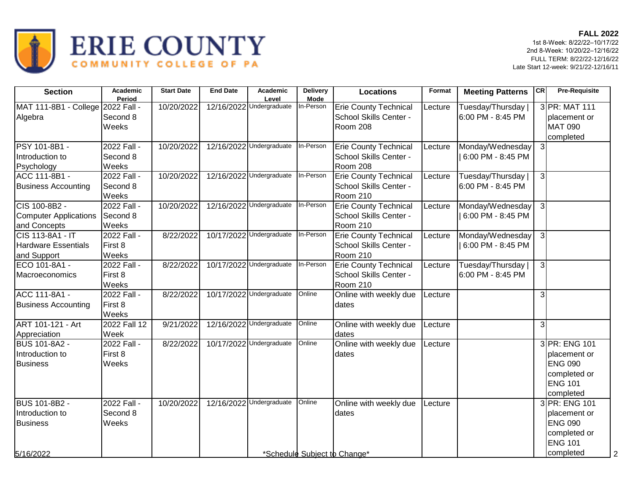

| <b>Section</b>                                                          | <b>Academic</b><br>Period        | <b>Start Date</b> | <b>End Date</b> | Academic<br>Level        | <b>Delivery</b><br><b>Mode</b> | <b>Locations</b>                                                   | Format  | <b>Meeting Patterns</b>                 | <b>CR</b>      | <b>Pre-Requisite</b>                                                                           |
|-------------------------------------------------------------------------|----------------------------------|-------------------|-----------------|--------------------------|--------------------------------|--------------------------------------------------------------------|---------|-----------------------------------------|----------------|------------------------------------------------------------------------------------------------|
| MAT 111-8B1 - College 2022 Fall -<br>Algebra                            | Second 8<br>Weeks                | 10/20/2022        |                 | 12/16/2022 Undergraduate | In-Person                      | <b>Erie County Technical</b><br>School Skills Center -<br>Room 208 | Lecture | Tuesday/Thursday<br>6:00 PM - 8:45 PM   |                | 3 PR: MAT 111<br>placement or<br><b>MAT 090</b><br>completed                                   |
| PSY 101-8B1 -<br>Introduction to<br>Psychology                          | 2022 Fall -<br>Second 8<br>Weeks | 10/20/2022        |                 | 12/16/2022 Undergraduate | In-Person                      | <b>Erie County Technical</b><br>School Skills Center -<br>Room 208 | Lecture | Monday/Wednesday<br>6:00 PM - 8:45 PM   | $\overline{3}$ |                                                                                                |
| ACC 111-8B1 -<br><b>Business Accounting</b>                             | 2022 Fall -<br>Second 8<br>Weeks | 10/20/2022        |                 | 12/16/2022 Undergraduate | In-Person                      | <b>Erie County Technical</b><br>School Skills Center -<br>Room 210 | Lecture | Tuesday/Thursday  <br>6:00 PM - 8:45 PM | $\mathbf{3}$   |                                                                                                |
| CIS 100-8B2 -<br><b>Computer Applications</b><br>and Concepts           | 2022 Fall -<br>Second 8<br>Weeks | 10/20/2022        |                 | 12/16/2022 Undergraduate | In-Person                      | <b>Erie County Technical</b><br>School Skills Center -<br>Room 210 | Lecture | Monday/Wednesday<br>6:00 PM - 8:45 PM   | $\overline{3}$ |                                                                                                |
| <b>CIS 113-8A1 - IT</b><br><b>Hardware Essentials</b><br>and Support    | 2022 Fall -<br>First 8<br>Weeks  | 8/22/2022         |                 | 10/17/2022 Undergraduate | In-Person                      | <b>Erie County Technical</b><br>School Skills Center -<br>Room 210 | Lecture | Monday/Wednesday<br>6:00 PM - 8:45 PM   | $\mathbf{3}$   |                                                                                                |
| ECO 101-8A1 -<br>Macroeconomics                                         | 2022 Fall -<br>First 8<br>Weeks  | 8/22/2022         |                 | 10/17/2022 Undergraduate | In-Person                      | <b>Erie County Technical</b><br>School Skills Center -<br>Room 210 | Lecture | Tuesday/Thursday  <br>6:00 PM - 8:45 PM | 3              |                                                                                                |
| ACC 111-8A1 -<br><b>Business Accounting</b>                             | 2022 Fall -<br>First 8<br>Weeks  | 8/22/2022         |                 | 10/17/2022 Undergraduate | Online                         | Online with weekly due<br>dates                                    | Lecture |                                         | $\mathbf{3}$   |                                                                                                |
| <b>ART 101-121 - Art</b><br>Appreciation                                | 2022 Fall 12<br>Week             | 9/21/2022         |                 | 12/16/2022 Undergraduate | Online                         | Online with weekly due<br>dates                                    | Lecture |                                         | $\overline{3}$ |                                                                                                |
| <b>BUS 101-8A2 -</b><br>Introduction to<br><b>Business</b>              | 2022 Fall -<br>First 8<br>Weeks  | 8/22/2022         |                 | 10/17/2022 Undergraduate | Online                         | Online with weekly due<br>dates                                    | Lecture |                                         |                | 3 PR: ENG 101<br>placement or<br><b>ENG 090</b><br>completed or<br><b>ENG 101</b><br>completed |
| <b>BUS 101-8B2 -</b><br>Introduction to<br><b>Business</b><br>5/16/2022 | 2022 Fall -<br>Second 8<br>Weeks | 10/20/2022        |                 | 12/16/2022 Undergraduate | Online                         | Online with weekly due<br>dates<br>*Schedule Subject to Change*    | Lecture |                                         |                | 3 PR: ENG 101<br>placement or<br><b>ENG 090</b><br>completed or<br><b>ENG 101</b><br>completed |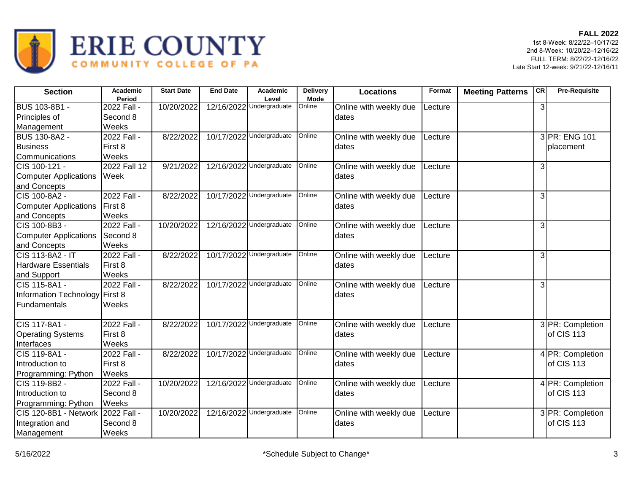

| <b>Section</b>                 | Academic<br>Period | <b>Start Date</b> | <b>End Date</b> | Academic<br>Level        | <b>Delivery</b><br><b>Mode</b> | <b>Locations</b>       | Format  | <b>Meeting Patterns</b> | CR             | <b>Pre-Requisite</b> |
|--------------------------------|--------------------|-------------------|-----------------|--------------------------|--------------------------------|------------------------|---------|-------------------------|----------------|----------------------|
| <b>BUS 103-8B1 -</b>           | 2022 Fall -        | 10/20/2022        |                 | 12/16/2022 Undergraduate | Online                         | Online with weekly due | Lecture |                         | $\overline{3}$ |                      |
| Principles of                  | Second 8           |                   |                 |                          |                                | dates                  |         |                         |                |                      |
| Management                     | Weeks              |                   |                 |                          |                                |                        |         |                         |                |                      |
| <b>BUS 130-8A2 -</b>           | 2022 Fall -        | 8/22/2022         |                 | 10/17/2022 Undergraduate | Online                         | Online with weekly due | Lecture |                         |                | 3 PR: ENG 101        |
| <b>Business</b>                | First 8            |                   |                 |                          |                                | dates                  |         |                         |                | placement            |
| Communications                 | Weeks              |                   |                 |                          |                                |                        |         |                         |                |                      |
| ICIS 100-121 -                 | 2022 Fall 12       | 9/21/2022         |                 | 12/16/2022 Undergraduate | Online                         | Online with weekly due | Lecture |                         | 3              |                      |
| <b>Computer Applications</b>   | Week               |                   |                 |                          |                                | dates                  |         |                         |                |                      |
| and Concepts                   |                    |                   |                 |                          |                                |                        |         |                         |                |                      |
| CIS 100-8A2 -                  | 2022 Fall -        | 8/22/2022         |                 | 10/17/2022 Undergraduate | Online                         | Online with weekly due | Lecture |                         | $\mathbf{3}$   |                      |
| <b>Computer Applications</b>   | <b>First 8</b>     |                   |                 |                          |                                | dates                  |         |                         |                |                      |
| and Concepts                   | Weeks              |                   |                 |                          |                                |                        |         |                         |                |                      |
| CIS 100-8B3 -                  | 2022 Fall -        | 10/20/2022        |                 | 12/16/2022 Undergraduate | Online                         | Online with weekly due | Lecture |                         | $\overline{3}$ |                      |
| Computer Applications          | Second 8           |                   |                 |                          |                                | dates                  |         |                         |                |                      |
| and Concepts                   | Weeks              |                   |                 |                          |                                |                        |         |                         |                |                      |
| <b>CIS 113-8A2 - IT</b>        | 2022 Fall -        | 8/22/2022         |                 | 10/17/2022 Undergraduate | Online                         | Online with weekly due | Lecture |                         | 3              |                      |
| <b>Hardware Essentials</b>     | First 8            |                   |                 |                          |                                | dates                  |         |                         |                |                      |
| and Support                    | Weeks              |                   |                 |                          |                                |                        |         |                         |                |                      |
| CIS 115-8A1 -                  | 2022 Fall -        | 8/22/2022         | 10/17/2022      | Undergraduate            | Online                         | Online with weekly due | Lecture |                         | 3              |                      |
| Information Technology First 8 |                    |                   |                 |                          |                                | Idates                 |         |                         |                |                      |
| Fundamentals                   | Weeks              |                   |                 |                          |                                |                        |         |                         |                |                      |
| CIS 117-8A1 -                  | 2022 Fall -        | 8/22/2022         |                 | 10/17/2022 Undergraduate | Online                         | Online with weekly due | Lecture |                         |                | 3 PR: Completion     |
| <b>Operating Systems</b>       | First 8            |                   |                 |                          |                                | dates                  |         |                         |                | of CIS 113           |
| Interfaces                     | Weeks              |                   |                 |                          |                                |                        |         |                         |                |                      |
| CIS 119-8A1 -                  | 2022 Fall -        | 8/22/2022         |                 | 10/17/2022 Undergraduate | Online                         | Online with weekly due | Lecture |                         |                | 4 PR: Completion     |
| Introduction to                | First 8            |                   |                 |                          |                                | dates                  |         |                         |                | of CIS 113           |
| Programming: Python            | Weeks              |                   |                 |                          |                                |                        |         |                         |                |                      |
| CIS 119-8B2 -                  | 2022 Fall -        | 10/20/2022        |                 | 12/16/2022 Undergraduate | Online                         | Online with weekly due | Lecture |                         |                | 4 PR: Completion     |
| Introduction to                | Second 8           |                   |                 |                          |                                | dates                  |         |                         |                | of CIS 113           |
| Programming: Python            | Weeks              |                   |                 |                          |                                |                        |         |                         |                |                      |
| CIS 120-8B1 - Network          | 2022 Fall -        | 10/20/2022        |                 | 12/16/2022 Undergraduate | Online                         | Online with weekly due | Lecture |                         |                | 3 PR: Completion     |
| Integration and                | Second 8           |                   |                 |                          |                                | dates                  |         |                         |                | of CIS 113           |
| Management                     | Weeks              |                   |                 |                          |                                |                        |         |                         |                |                      |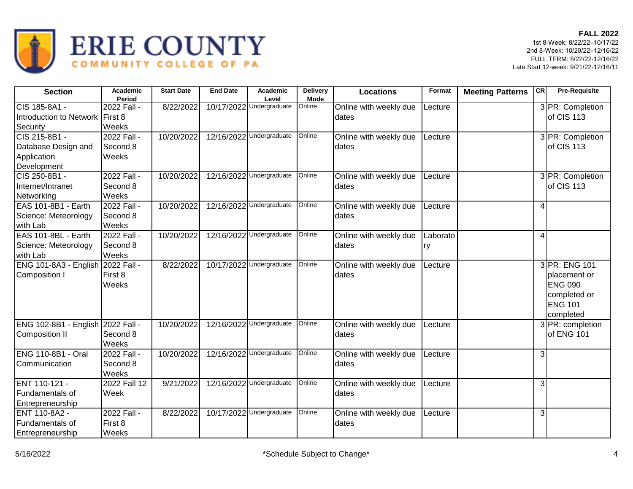

| <b>Section</b>                                                     | Academic<br>Period               | <b>Start Date</b> | <b>End Date</b> | Academic<br>Level        | Delivery<br><b>Mode</b> | <b>Locations</b>                 | Format         | <b>Meeting Patterns</b> | <b>CR</b>                | <b>Pre-Requisite</b>                                                                           |
|--------------------------------------------------------------------|----------------------------------|-------------------|-----------------|--------------------------|-------------------------|----------------------------------|----------------|-------------------------|--------------------------|------------------------------------------------------------------------------------------------|
| CIS 185-8A1 -<br>Introduction to Network First 8<br>Security       | 2022 Fall -<br>Weeks             | 8/22/2022         | 10/17/2022      | Undergraduate            | Online                  | Online with weekly due<br>dates  | Lecture        |                         |                          | 3 PR: Completion<br>of CIS 113                                                                 |
| CIS 215-8B1 -<br>Database Design and<br>Application<br>Development | 2022 Fall -<br>Second 8<br>Weeks | 10/20/2022        |                 | 12/16/2022 Undergraduate | Online                  | Online with weekly due<br>dates  | Lecture        |                         |                          | 3 PR: Completion<br>of CIS 113                                                                 |
| CIS 250-8B1 -<br>Internet/Intranet<br>Networking                   | 2022 Fall -<br>Second 8<br>Weeks | 10/20/2022        |                 | 12/16/2022 Undergraduate | Online                  | Online with weekly due<br>Idates | Lecture        |                         |                          | 3 PR: Completion<br>of CIS 113                                                                 |
| EAS 101-8B1 - Earth<br>Science: Meteorology<br>with Lab            | 2022 Fall -<br>Second 8<br>Weeks | 10/20/2022        | 12/16/2022      | Undergraduate            | Online                  | Online with weekly due<br>dates  | Lecture        |                         | $\overline{\mathcal{A}}$ |                                                                                                |
| EAS 101-8BL - Earth<br>Science: Meteorology<br>with Lab            | 2022 Fall -<br>Second 8<br>Weeks | 10/20/2022        |                 | 12/16/2022 Undergraduate | Online                  | Online with weekly due<br>Idates | Laborato<br>ry |                         | $\overline{4}$           |                                                                                                |
| ENG 101-8A3 - English 2022 Fall -<br>Composition I                 | First 8<br>Weeks                 | 8/22/2022         |                 | 10/17/2022 Undergraduate | Online                  | Online with weekly due<br>Idates | Lecture        |                         |                          | 3 PR: ENG 101<br>placement or<br><b>ENG 090</b><br>completed or<br><b>ENG 101</b><br>completed |
| ENG 102-8B1 - English 2022 Fall -<br><b>Composition II</b>         | Second 8<br>Weeks                | 10/20/2022        | 12/16/2022      | Undergraduate            | Online                  | Online with weekly due<br>dates  | Lecture        |                         |                          | 3 PR: completion<br>of ENG 101                                                                 |
| <b>ENG 110-8B1 - Oral</b><br>Communication                         | 2022 Fall -<br>Second 8<br>Weeks | 10/20/2022        |                 | 12/16/2022 Undergraduate | Online                  | Online with weekly due<br>dates  | Lecture        |                         | 3                        |                                                                                                |
| ENT 110-121 -<br>Fundamentals of<br>Entrepreneurship               | 2022 Fall 12<br>Week             | 9/21/2022         |                 | 12/16/2022 Undergraduate | Online                  | Online with weekly due<br>dates  | Lecture        |                         | 3                        |                                                                                                |
| ENT 110-8A2 -<br>Fundamentals of<br>Entrepreneurship               | 2022 Fall -<br>First 8<br>Weeks  | 8/22/2022         |                 | 10/17/2022 Undergraduate | Online                  | Online with weekly due<br>dates  | Lecture        |                         | $\overline{3}$           |                                                                                                |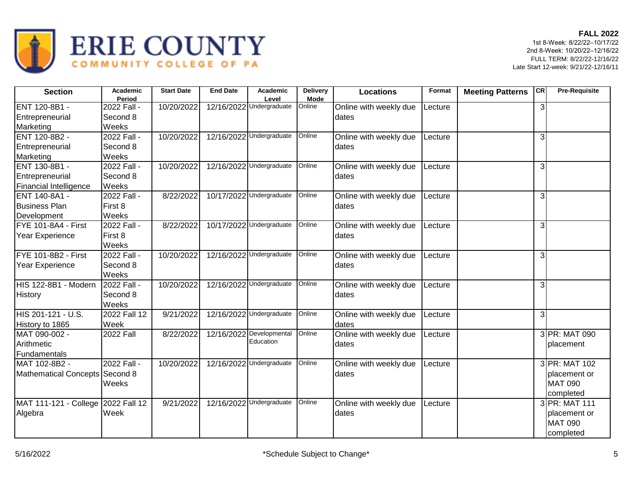

| <b>Section</b>                     | <b>Academic</b><br>Period | <b>Start Date</b> | <b>End Date</b> | <b>Academic</b><br>Level | <b>Delivery</b><br>Mode | <b>Locations</b>                | Format  | <b>Meeting Patterns</b> | CR | <b>Pre-Requisite</b> |
|------------------------------------|---------------------------|-------------------|-----------------|--------------------------|-------------------------|---------------------------------|---------|-------------------------|----|----------------------|
| ENT 120-8B1 -<br>Entrepreneurial   | 2022 Fall -<br>Second 8   | 10/20/2022        |                 | 12/16/2022 Undergraduate | Online                  | Online with weekly due<br>dates | Lecture |                         | 3  |                      |
| Marketing                          | Weeks                     |                   |                 |                          |                         |                                 |         |                         |    |                      |
| ENT 120-8B2 -                      | 2022 Fall -               | 10/20/2022        |                 | 12/16/2022 Undergraduate | Online                  | Online with weekly due          | Lecture |                         | 3  |                      |
| Entrepreneurial                    | Second 8                  |                   |                 |                          |                         | dates                           |         |                         |    |                      |
| Marketing                          | Weeks                     |                   |                 |                          |                         |                                 |         |                         |    |                      |
| ENT 130-8B1 -                      | 2022 Fall -               | 10/20/2022        |                 | 12/16/2022 Undergraduate | Online                  | Online with weekly due          | Lecture |                         | 3  |                      |
| Entrepreneurial                    | Second 8                  |                   |                 |                          |                         | dates                           |         |                         |    |                      |
| Financial Intelligence             | Weeks                     |                   |                 |                          |                         |                                 |         |                         |    |                      |
| ENT 140-8A1 -                      | 2022 Fall -               | 8/22/2022         |                 | 10/17/2022 Undergraduate | Online                  | Online with weekly due          | Lecture |                         | 3  |                      |
| <b>Business Plan</b>               | First 8                   |                   |                 |                          |                         | dates                           |         |                         |    |                      |
| Development                        | Weeks                     |                   |                 |                          |                         |                                 |         |                         |    |                      |
| FYE 101-8A4 - First                | 2022 Fall -               | 8/22/2022         |                 | 10/17/2022 Undergraduate | Online                  | Online with weekly due          | Lecture |                         | 3  |                      |
| Year Experience                    | First 8                   |                   |                 |                          |                         | dates                           |         |                         |    |                      |
|                                    | Weeks                     |                   |                 |                          |                         |                                 |         |                         |    |                      |
| <b>FYE 101-8B2 - First</b>         | 2022 Fall -               | 10/20/2022        |                 | 12/16/2022 Undergraduate | Online                  | Online with weekly due          | Lecture |                         | 3  |                      |
| Year Experience                    | Second 8                  |                   |                 |                          |                         | dates                           |         |                         |    |                      |
|                                    | Weeks                     |                   |                 |                          |                         |                                 |         |                         |    |                      |
| HIS 122-8B1 - Modern               | 2022 Fall -               | 10/20/2022        | 12/16/2022      | Undergraduate            | Online                  | Online with weekly due          | Lecture |                         | 3  |                      |
| History                            | Second 8                  |                   |                 |                          |                         | dates                           |         |                         |    |                      |
|                                    | Weeks                     |                   |                 |                          |                         |                                 |         |                         |    |                      |
| HIS 201-121 - U.S.                 | 2022 Fall 12              | 9/21/2022         |                 | 12/16/2022 Undergraduate | Online                  | Online with weekly due          | Lecture |                         | 3  |                      |
| History to 1865                    | Week                      |                   |                 |                          |                         | dates                           |         |                         |    |                      |
| MAT 090-002 -                      | <b>2022 Fall</b>          | 8/22/2022         | 12/16/2022      | Developmental            | Online                  | Online with weekly due          | Lecture |                         |    | 3 PR: MAT 090        |
| Arithmetic                         |                           |                   |                 | Education                |                         | dates                           |         |                         |    | placement            |
| Fundamentals                       |                           |                   |                 |                          |                         |                                 |         |                         |    |                      |
| MAT 102-8B2 -                      | 2022 Fall -               | 10/20/2022        |                 | 12/16/2022 Undergraduate | Online                  | Online with weekly due          | Lecture |                         |    | 3 PR: MAT 102        |
| Mathematical Concepts Second 8     |                           |                   |                 |                          |                         | dates                           |         |                         |    | placement or         |
|                                    | Weeks                     |                   |                 |                          |                         |                                 |         |                         |    | <b>MAT 090</b>       |
|                                    |                           |                   |                 |                          |                         |                                 |         |                         |    | completed            |
| MAT 111-121 - College 2022 Fall 12 |                           | 9/21/2022         | 12/16/2022      | Undergraduate            | Online                  | Online with weekly due          | Lecture |                         |    | 3 PR: MAT 111        |
| Algebra                            | Week                      |                   |                 |                          |                         | dates                           |         |                         |    | placement or         |
|                                    |                           |                   |                 |                          |                         |                                 |         |                         |    | <b>MAT 090</b>       |
|                                    |                           |                   |                 |                          |                         |                                 |         |                         |    | completed            |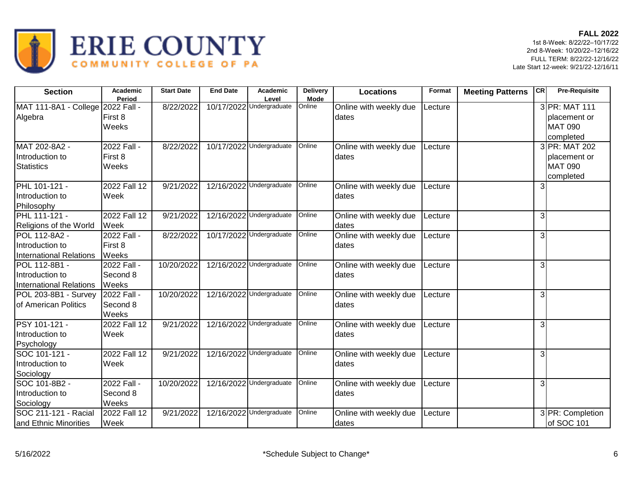

| <b>Section</b>                                                     | Academic<br>Period               | <b>Start Date</b> | <b>End Date</b> | Academic<br>Level        | <b>Delivery</b><br><b>Mode</b> | <b>Locations</b>                | Format  | <b>Meeting Patterns</b> | <b>CR</b>      | <b>Pre-Requisite</b>                                         |
|--------------------------------------------------------------------|----------------------------------|-------------------|-----------------|--------------------------|--------------------------------|---------------------------------|---------|-------------------------|----------------|--------------------------------------------------------------|
| MAT 111-8A1 - College 2022 Fall -<br>Algebra                       | First 8<br>Weeks                 | 8/22/2022         |                 | 10/17/2022 Undergraduate | Online                         | Online with weekly due<br>dates | Lecture |                         |                | 3 PR: MAT 111<br>placement or<br><b>MAT 090</b><br>completed |
| MAT 202-8A2 -<br>Introduction to<br><b>Statistics</b>              | 2022 Fall -<br>First 8<br>Weeks  | 8/22/2022         |                 | 10/17/2022 Undergraduate | Online                         | Online with weekly due<br>dates | Lecture |                         |                | 3 PR: MAT 202<br>placement or<br><b>MAT 090</b><br>completed |
| PHL 101-121 -<br>Introduction to<br>Philosophy                     | 2022 Fall 12<br>Week             | 9/21/2022         |                 | 12/16/2022 Undergraduate | Online                         | Online with weekly due<br>dates | Lecture |                         | $\overline{3}$ |                                                              |
| PHL 111-121 -<br>Religions of the World                            | 2022 Fall 12<br>Week             | 9/21/2022         |                 | 12/16/2022 Undergraduate | Online                         | Online with weekly due<br>dates | Lecture |                         | 3              |                                                              |
| POL 112-8A2 -<br>Introduction to<br><b>International Relations</b> | 2022 Fall -<br>First 8<br>Weeks  | 8/22/2022         |                 | 10/17/2022 Undergraduate | Online                         | Online with weekly due<br>dates | Lecture |                         | $\overline{3}$ |                                                              |
| POL 112-8B1 -<br>Introduction to<br><b>International Relations</b> | 2022 Fall -<br>Second 8<br>Weeks | 10/20/2022        |                 | 12/16/2022 Undergraduate | Online                         | Online with weekly due<br>dates | Lecture |                         | 3              |                                                              |
| POL 203-8B1 - Survey<br><b>I</b> of American Politics              | 2022 Fall -<br>Second 8<br>Weeks | 10/20/2022        |                 | 12/16/2022 Undergraduate | Online                         | Online with weekly due<br>dates | Lecture |                         | 3 <sup>l</sup> |                                                              |
| PSY 101-121 -<br>Introduction to<br>Psychology                     | 2022 Fall 12<br>Week             | 9/21/2022         |                 | 12/16/2022 Undergraduate | Online                         | Online with weekly due<br>dates | Lecture |                         | 3              |                                                              |
| SOC 101-121 -<br>Introduction to<br>Sociology                      | 2022 Fall 12<br>Week             | 9/21/2022         |                 | 12/16/2022 Undergraduate | Online                         | Online with weekly due<br>dates | _ecture |                         | 3              |                                                              |
| SOC 101-8B2 -<br>Introduction to<br>Sociology                      | 2022 Fall -<br>Second 8<br>Weeks | 10/20/2022        |                 | 12/16/2022 Undergraduate | Online                         | Online with weekly due<br>dates | Lecture |                         | 3              |                                                              |
| SOC 211-121 - Racial<br>and Ethnic Minorities                      | 2022 Fall 12<br>Week             | 9/21/2022         |                 | 12/16/2022 Undergraduate | Online                         | Online with weekly due<br>dates | Lecture |                         |                | 3 PR: Completion<br>of SOC 101                               |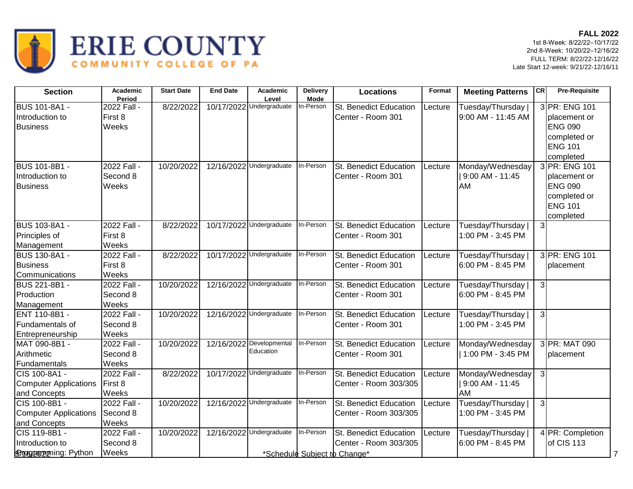

| <b>Section</b>                | Academic    | <b>Start Date</b> | <b>End Date</b> | <b>Academic</b>                    | <b>Delivery</b> | <b>Locations</b>             | Format  | <b>Meeting Patterns</b> | <b>CR</b>      | <b>Pre-Requisite</b> |
|-------------------------------|-------------|-------------------|-----------------|------------------------------------|-----------------|------------------------------|---------|-------------------------|----------------|----------------------|
|                               | Period      |                   |                 | Level                              | <b>Mode</b>     |                              |         |                         |                |                      |
| <b>BUS 101-8A1 -</b>          | 2022 Fall - | 8/22/2022         |                 | 10/17/2022 Undergraduate           | In-Person       | St. Benedict Education       | Lecture | Tuesday/Thursday        |                | 3 PR: ENG 101        |
| Introduction to               | First 8     |                   |                 |                                    |                 | Center - Room 301            |         | 9:00 AM - 11:45 AM      |                | placement or         |
| <b>Business</b>               | Weeks       |                   |                 |                                    |                 |                              |         |                         |                | <b>ENG 090</b>       |
|                               |             |                   |                 |                                    |                 |                              |         |                         |                | completed or         |
|                               |             |                   |                 |                                    |                 |                              |         |                         |                | <b>ENG 101</b>       |
|                               |             |                   |                 |                                    |                 |                              |         |                         |                | completed            |
| <b>BUS 101-8B1 -</b>          | 2022 Fall - | 10/20/2022        |                 | 12/16/2022 Undergraduate           | In-Person       | St. Benedict Education       | Lecture | Monday/Wednesday        |                | 3 PR: ENG 101        |
| Introduction to               | Second 8    |                   |                 |                                    |                 | Center - Room 301            |         | 9:00 AM - 11:45         |                | placement or         |
| <b>Business</b>               | Weeks       |                   |                 |                                    |                 |                              |         | AM                      |                | <b>ENG 090</b>       |
|                               |             |                   |                 |                                    |                 |                              |         |                         |                | completed or         |
|                               |             |                   |                 |                                    |                 |                              |         |                         |                | <b>ENG 101</b>       |
|                               |             |                   |                 |                                    |                 |                              |         |                         |                | completed            |
| <b>BUS 103-8A1 -</b>          | 2022 Fall - | 8/22/2022         |                 | 10/17/2022 Undergraduate           | In-Person       | St. Benedict Education       | Lecture | Tuesday/Thursday        | 3 <sup>l</sup> |                      |
| Principles of                 | First 8     |                   |                 |                                    |                 | Center - Room 301            |         | 1:00 PM - 3:45 PM       |                |                      |
| Management                    | Weeks       |                   |                 |                                    |                 |                              |         |                         |                |                      |
| <b>BUS 130-8A1 -</b>          | 2022 Fall - | 8/22/2022         |                 | 10/17/2022 Undergraduate           | In-Person       | St. Benedict Education       | Lecture | Tuesday/Thursday        |                | 3 PR: ENG 101        |
| <b>Business</b>               | First 8     |                   |                 |                                    |                 | Center - Room 301            |         | 6:00 PM - 8:45 PM       |                | placement            |
| Communications                | Weeks       |                   |                 |                                    |                 |                              |         |                         |                |                      |
| <b>BUS 221-8B1 -</b>          | 2022 Fall - | 10/20/2022        |                 | 12/16/2022 Undergraduate           | In-Person       | St. Benedict Education       | Lecture | Tuesday/Thursday        | $\mathbf{3}$   |                      |
| Production                    | Second 8    |                   |                 |                                    |                 | Center - Room 301            |         | 6:00 PM - 8:45 PM       |                |                      |
| Management                    | Weeks       |                   |                 |                                    |                 |                              |         |                         |                |                      |
| ENT 110-8B1 -                 | 2022 Fall - | 10/20/2022        |                 | 12/16/2022 Undergraduate           | In-Person       | St. Benedict Education       | Lecture | Tuesday/Thursday        | $\mathbf{3}$   |                      |
| Fundamentals of               | Second 8    |                   |                 |                                    |                 | Center - Room 301            |         | 1:00 PM - 3:45 PM       |                |                      |
| Entrepreneurship              | Weeks       |                   |                 |                                    |                 |                              |         |                         |                |                      |
| MAT 090-8B1 -                 | 2022 Fall - | 10/20/2022        |                 | 12/16/2022 Developmental           | In-Person       | St. Benedict Education       | Lecture | Monday/Wednesday        |                | 3 PR: MAT 090        |
| Arithmetic                    | Second 8    |                   |                 | Education                          |                 | Center - Room 301            |         | 1:00 PM - 3:45 PM       |                | placement            |
| Fundamentals                  | Weeks       |                   |                 |                                    |                 |                              |         |                         |                |                      |
| CIS 100-8A1 -                 | 2022 Fall - | 8/22/2022         |                 | 10/17/2022 Undergraduate           | In-Person       | St. Benedict Education       | Lecture | Monday/Wednesday        | $\overline{3}$ |                      |
| <b>Computer Applications</b>  | First 8     |                   |                 |                                    |                 | Center - Room 303/305        |         | 9:00 AM - 11:45         |                |                      |
| and Concepts                  | Weeks       |                   |                 |                                    |                 |                              |         | AM                      |                |                      |
| CIS 100-8B1 -                 | 2022 Fall - | 10/20/2022        |                 | 12/16/2022 Undergraduate           | In-Person       | St. Benedict Education       | Lecture | Tuesday/Thursday        | $\mathbf{3}$   |                      |
| Computer Applications         | Second 8    |                   |                 |                                    |                 | Center - Room 303/305        |         | 1:00 PM - 3:45 PM       |                |                      |
| and Concepts                  | Weeks       |                   |                 |                                    |                 |                              |         |                         |                |                      |
| CIS 119-8B1 -                 | 2022 Fall - | 10/20/2022        |                 | 12/16/2022 Undergraduate In-Person |                 | St. Benedict Education       | Lecture | Tuesday/Thursday        |                | 4 PR: Completion     |
| Introduction to               | Second 8    |                   |                 |                                    |                 | Center - Room 303/305        |         | 6:00 PM - 8:45 PM       |                | of CIS 113           |
| <b>Broggeorgening: Python</b> | Weeks       |                   |                 |                                    |                 | *Schedule Subject to Change* |         |                         |                | 7                    |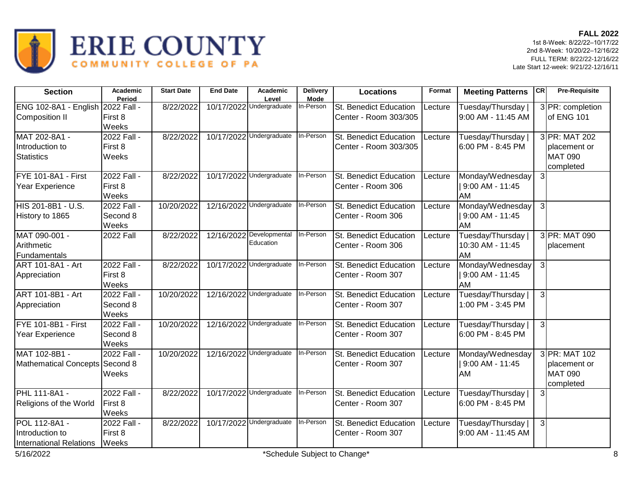

| <b>Section</b>                                              | Academic<br>Period               | <b>Start Date</b> | <b>End Date</b> | <b>Academic</b><br>Level              | <b>Delivery</b><br><b>Mode</b> | <b>Locations</b>                                       | Format  | <b>Meeting Patterns</b>                      | CR             | <b>Pre-Requisite</b>                                         |
|-------------------------------------------------------------|----------------------------------|-------------------|-----------------|---------------------------------------|--------------------------------|--------------------------------------------------------|---------|----------------------------------------------|----------------|--------------------------------------------------------------|
| ENG 102-8A1 - English 2022 Fall -<br>Composition II         | First 8<br>Weeks                 | 8/22/2022         |                 | 10/17/2022 Undergraduate              | In-Person                      | <b>St. Benedict Education</b><br>Center - Room 303/305 | Lecture | Tuesday/Thursday  <br>9:00 AM - 11:45 AM     |                | 3 PR: completion<br>of ENG 101                               |
| MAT 202-8A1 -<br>Introduction to<br><b>Statistics</b>       | 2022 Fall -<br>First 8<br>Weeks  | 8/22/2022         |                 | 10/17/2022 Undergraduate              | In-Person                      | St. Benedict Education<br>Center - Room 303/305        | Lecture | Tuesday/Thursday<br>6:00 PM - 8:45 PM        |                | 3 PR: MAT 202<br>placement or<br><b>MAT 090</b><br>completed |
| FYE 101-8A1 - First<br>Year Experience                      | 2022 Fall -<br>First 8<br>Weeks  | 8/22/2022         |                 | 10/17/2022 Undergraduate              | In-Person                      | St. Benedict Education<br>Center - Room 306            | Lecture | Monday/Wednesday<br>9:00 AM - 11:45<br>AM    | $\mathbf{3}$   |                                                              |
| HIS 201-8B1 - U.S.<br>History to 1865                       | 2022 Fall -<br>Second 8<br>Weeks | 10/20/2022        |                 | 12/16/2022 Undergraduate              | In-Person                      | St. Benedict Education<br>Center - Room 306            | Lecture | Monday/Wednesday<br>  9:00 AM - 11:45<br>AM  | دی             |                                                              |
| MAT 090-001 -<br>Arithmetic<br>Fundamentals                 | <b>2022 Fall</b>                 | 8/22/2022         |                 | 12/16/2022 Developmental<br>Education | In-Person                      | St. Benedict Education<br>Center - Room 306            | Lecture | Tuesday/Thursday  <br>10:30 AM - 11:45<br>AM |                | 3 PR: MAT 090<br>placement                                   |
| ART 101-8A1 - Art<br>Appreciation                           | 2022 Fall -<br>First 8<br>Weeks  | 8/22/2022         |                 | 10/17/2022 Undergraduate              | In-Person                      | St. Benedict Education<br>Center - Room 307            | Lecture | Monday/Wednesday<br>  9:00 AM - 11:45<br>AM  | $\overline{3}$ |                                                              |
| ART 101-8B1 - Art<br>Appreciation                           | 2022 Fall -<br>Second 8<br>Weeks | 10/20/2022        |                 | 12/16/2022 Undergraduate              | In-Person                      | St. Benedict Education<br>Center - Room 307            | Lecture | Tuesday/Thursday<br>1:00 PM - 3:45 PM        | $\overline{3}$ |                                                              |
| FYE 101-8B1 - First<br>Year Experience                      | 2022 Fall -<br>Second 8<br>Weeks | 10/20/2022        |                 | 12/16/2022 Undergraduate              | In-Person                      | St. Benedict Education<br>Center - Room 307            | Lecture | Tuesday/Thursday<br>6:00 PM - 8:45 PM        | $\overline{3}$ |                                                              |
| MAT 102-8B1 -<br>Mathematical Concepts Second 8             | 2022 Fall -<br>Weeks             | 10/20/2022        |                 | 12/16/2022 Undergraduate              | In-Person                      | St. Benedict Education<br>Center - Room 307            | Lecture | Monday/Wednesday<br>  9:00 AM - 11:45<br>AM  |                | 3 PR: MAT 102<br>placement or<br><b>MAT 090</b><br>completed |
| <b>PHL 111-8A1 -</b><br>Religions of the World              | 2022 Fall -<br>First 8<br>Weeks  | 8/22/2022         |                 | 10/17/2022 Undergraduate              | In-Person                      | St. Benedict Education<br>Center - Room 307            | Lecture | Tuesday/Thursday  <br>6:00 PM - 8:45 PM      | $\overline{3}$ |                                                              |
| POL 112-8A1 -<br>Introduction to<br>International Relations | 2022 Fall -<br>First 8<br>Weeks  | 8/22/2022         |                 | 10/17/2022 Undergraduate              | In-Person                      | St. Benedict Education<br>Center - Room 307            | Lecture | Tuesday/Thursday  <br>9:00 AM - 11:45 AM     | $\overline{3}$ |                                                              |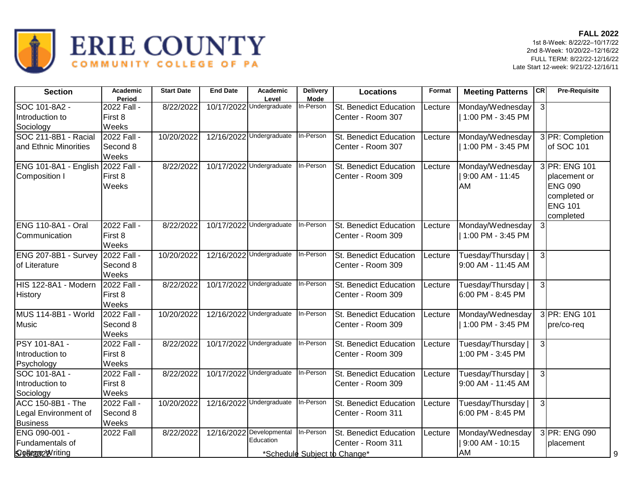

| <b>Section</b>            | Academic<br>Period | <b>Start Date</b> | <b>End Date</b> | Academic<br>Level                  | <b>Delivery</b><br><b>Mode</b> | <b>Locations</b>             | Format  | <b>Meeting Patterns</b> | <b>CR</b>      | <b>Pre-Requisite</b> |
|---------------------------|--------------------|-------------------|-----------------|------------------------------------|--------------------------------|------------------------------|---------|-------------------------|----------------|----------------------|
| SOC 101-8A2 -             | 2022 Fall -        | 8/22/2022         |                 | 10/17/2022 Undergraduate           | In-Person                      | St. Benedict Education       | Lecture | Monday/Wednesday        | $\mathbf{3}$   |                      |
| Introduction to           | First 8            |                   |                 |                                    |                                | Center - Room 307            |         | 1:00 PM - 3:45 PM       |                |                      |
| Sociology                 | Weeks              |                   |                 |                                    |                                |                              |         |                         |                |                      |
| SOC 211-8B1 - Racial      | 2022 Fall -        | 10/20/2022        |                 | 12/16/2022 Undergraduate           | In-Person                      | St. Benedict Education       | Lecture | Monday/Wednesday        |                | 3 PR: Completion     |
| and Ethnic Minorities     | Second 8           |                   |                 |                                    |                                | Center - Room 307            |         | 1:00 PM - 3:45 PM       |                | of SOC 101           |
|                           | Weeks              |                   |                 |                                    |                                |                              |         |                         |                |                      |
| ENG 101-8A1 - English     | 2022 Fall -        | 8/22/2022         |                 | 10/17/2022 Undergraduate           | In-Person                      | St. Benedict Education       | Lecture | Monday/Wednesday        |                | 3 PR: ENG 101        |
| Composition I             | First 8            |                   |                 |                                    |                                | Center - Room 309            |         | 9:00 AM - 11:45         |                | placement or         |
|                           | Weeks              |                   |                 |                                    |                                |                              |         | AM                      |                | <b>ENG 090</b>       |
|                           |                    |                   |                 |                                    |                                |                              |         |                         |                | completed or         |
|                           |                    |                   |                 |                                    |                                |                              |         |                         |                | <b>ENG 101</b>       |
|                           |                    |                   |                 |                                    |                                |                              |         |                         |                | completed            |
| <b>ENG 110-8A1 - Oral</b> | 2022 Fall -        | 8/22/2022         |                 | 10/17/2022 Undergraduate           | In-Person                      | St. Benedict Education       | Lecture | Monday/Wednesday        | $\mathbf{3}$   |                      |
| Communication             | First 8            |                   |                 |                                    |                                | Center - Room 309            |         | 1:00 PM - 3:45 PM       |                |                      |
|                           | Weeks              |                   |                 |                                    |                                |                              |         |                         |                |                      |
| ENG 207-8B1 - Survey      | 2022 Fall -        | 10/20/2022        |                 | 12/16/2022 Undergraduate           | In-Person                      | St. Benedict Education       | Lecture | Tuesday/Thursday        | $\overline{3}$ |                      |
| of Literature             | Second 8           |                   |                 |                                    |                                | Center - Room 309            |         | 9:00 AM - 11:45 AM      |                |                      |
|                           | Weeks              |                   |                 |                                    |                                |                              |         |                         |                |                      |
| HIS 122-8A1 - Modern      | 2022 Fall -        | 8/22/2022         |                 | 10/17/2022 Undergraduate In-Person |                                | St. Benedict Education       | Lecture | Tuesday/Thursday        | $\mathbf{3}$   |                      |
| <b>History</b>            | First 8            |                   |                 |                                    |                                | Center - Room 309            |         | 6:00 PM - 8:45 PM       |                |                      |
|                           | Weeks              |                   |                 |                                    |                                |                              |         |                         |                |                      |
| MUS 114-8B1 - World       | 2022 Fall -        | 10/20/2022        |                 | 12/16/2022 Undergraduate In-Person |                                | St. Benedict Education       | Lecture | Monday/Wednesday        |                | 3 PR: ENG 101        |
| <b>Music</b>              | Second 8           |                   |                 |                                    |                                | Center - Room 309            |         | 1:00 PM - 3:45 PM       |                | pre/co-req           |
|                           | Weeks              |                   |                 |                                    |                                |                              |         |                         |                |                      |
| PSY 101-8A1 -             | 2022 Fall -        | 8/22/2022         |                 | 10/17/2022 Undergraduate In-Person |                                | St. Benedict Education       | Lecture | Tuesday/Thursday        | $\mathbf{3}$   |                      |
| Introduction to           | First 8            |                   |                 |                                    |                                | Center - Room 309            |         | 1:00 PM - 3:45 PM       |                |                      |
| Psychology                | Weeks              |                   |                 |                                    |                                |                              |         |                         |                |                      |
| SOC 101-8A1 -             | 2022 Fall -        | 8/22/2022         |                 | 10/17/2022 Undergraduate In-Person |                                | St. Benedict Education       | Lecture | Tuesday/Thursday        | $\overline{3}$ |                      |
| Introduction to           | First 8            |                   |                 |                                    |                                | Center - Room 309            |         | 9:00 AM - 11:45 AM      |                |                      |
| Sociology                 | Weeks              |                   |                 |                                    |                                |                              |         |                         |                |                      |
| ACC 150-8B1 - The         | 2022 Fall -        | 10/20/2022        |                 | 12/16/2022 Undergraduate In-Person |                                | St. Benedict Education       | Lecture | Tuesday/Thursday        | $\overline{3}$ |                      |
| Legal Environment of      | Second 8           |                   |                 |                                    |                                | Center - Room 311            |         | 6:00 PM - 8:45 PM       |                |                      |
| <b>Business</b>           | Weeks              |                   |                 |                                    |                                |                              |         |                         |                |                      |
| ENG 090-001 -             | <b>2022 Fall</b>   | 8/22/2022         |                 | 12/16/2022 Developmental In-Person |                                | St. Benedict Education       | Lecture | Monday/Wednesday        |                | 3 PR: ENG 090        |
| Fundamentals of           |                    |                   |                 | Education                          |                                | Center - Room 311            |         | 9:00 AM - 10:15         |                | placement            |
| Sobegood riting           |                    |                   |                 |                                    |                                | *Schedule Subject to Change* |         | AM                      |                | 9                    |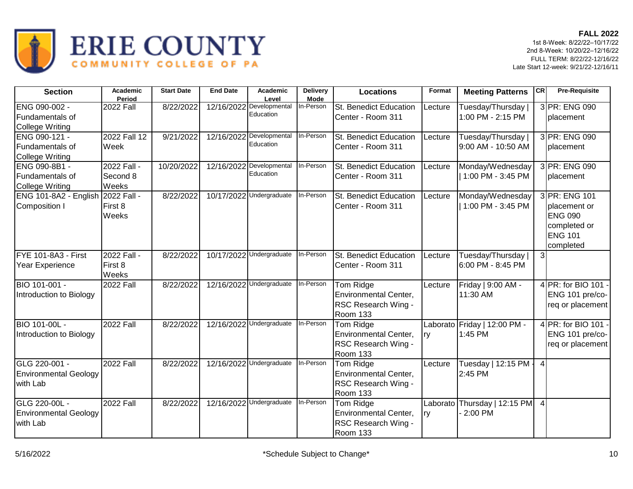

| <b>Section</b>                                            | Academic<br>Period               | <b>Start Date</b> | <b>End Date</b> | Academic<br>Level                     | <b>Delivery</b><br><b>Mode</b> | <b>Locations</b>                                                             | Format     | <b>Meeting Patterns</b>                  | CR             | <b>Pre-Requisite</b>                                                                           |
|-----------------------------------------------------------|----------------------------------|-------------------|-----------------|---------------------------------------|--------------------------------|------------------------------------------------------------------------------|------------|------------------------------------------|----------------|------------------------------------------------------------------------------------------------|
| ENG 090-002 -<br>Fundamentals of<br>College Writing       | <b>2022 Fall</b>                 | 8/22/2022         |                 | 12/16/2022 Developmental<br>Education | In-Person                      | St. Benedict Education<br>Center - Room 311                                  | Lecture    | Tuesday/Thursday  <br>1:00 PM - 2:15 PM  |                | 3 PR: ENG 090<br><b>placement</b>                                                              |
| ENG 090-121 -<br>Fundamentals of<br>College Writing       | 2022 Fall 12<br>Week             | 9/21/2022         |                 | 12/16/2022 Developmental<br>Education | In-Person                      | St. Benedict Education<br>Center - Room 311                                  | Lecture    | Tuesday/Thursday  <br>9:00 AM - 10:50 AM |                | 3 PR: ENG 090<br>placement                                                                     |
| ENG 090-8B1 -<br>Fundamentals of<br>College Writing       | 2022 Fall -<br>Second 8<br>Weeks | 10/20/2022        |                 | 12/16/2022 Developmental<br>Education | In-Person                      | St. Benedict Education<br>Center - Room 311                                  | Lecture    | Monday/Wednesday<br>  1:00 PM - 3:45 PM  |                | 3 PR: ENG 090<br>placement                                                                     |
| ENG 101-8A2 - English 2022 Fall -<br>Composition I        | First 8<br>Weeks                 | 8/22/2022         |                 | 10/17/2022 Undergraduate              | In-Person                      | St. Benedict Education<br>Center - Room 311                                  | Lecture    | Monday/Wednesday<br>11:00 PM - 3:45 PM   |                | 3 PR: ENG 101<br>placement or<br><b>ENG 090</b><br>completed or<br><b>ENG 101</b><br>completed |
| FYE 101-8A3 - First<br>Year Experience                    | 2022 Fall -<br>First 8<br>Weeks  | 8/22/2022         |                 | 10/17/2022 Undergraduate              | In-Person                      | St. Benedict Education<br>Center - Room 311                                  | Lecture    | Tuesday/Thursday  <br>6:00 PM - 8:45 PM  | $\mathbf{3}$   |                                                                                                |
| BIO 101-001 -<br>Introduction to Biology                  | 2022 Fall                        | 8/22/2022         |                 | 12/16/2022 Undergraduate              | In-Person                      | Tom Ridge<br>Environmental Center,<br>RSC Research Wing -<br>Room 133        | Lecture    | Friday   9:00 AM -<br>11:30 AM           |                | 4 PR: for BIO 101 -<br>ENG 101 pre/co-<br>req or placement                                     |
| <b>BIO 101-00L -</b><br>Introduction to Biology           | 2022 Fall                        | 8/22/2022         |                 | 12/16/2022 Undergraduate              | In-Person                      | Tom Ridge<br>Environmental Center,<br>RSC Research Wing -<br><b>Room 133</b> | <b>Iry</b> | Laborato Friday   12:00 PM -<br>1:45 PM  |                | 4 PR: for BIO 101 -<br>ENG 101 pre/co-<br>req or placement                                     |
| GLG 220-001 -<br><b>Environmental Geology</b><br>with Lab | <b>2022 Fall</b>                 | 8/22/2022         |                 | 12/16/2022 Undergraduate              | In-Person                      | Tom Ridge<br>Environmental Center,<br>RSC Research Wing -<br>Room 133        | Lecture    | Tuesday   12:15 PM -<br>2:45 PM          | $\overline{4}$ |                                                                                                |
| GLG 220-00L -<br><b>Environmental Geology</b><br>with Lab | <b>2022 Fall</b>                 | 8/22/2022         |                 | 12/16/2022 Undergraduate              | In-Person                      | Tom Ridge<br>Environmental Center,<br>RSC Research Wing -<br>Room 133        | ry         | Laborato Thursday   12:15 PM<br>2:00 PM  | $\overline{4}$ |                                                                                                |